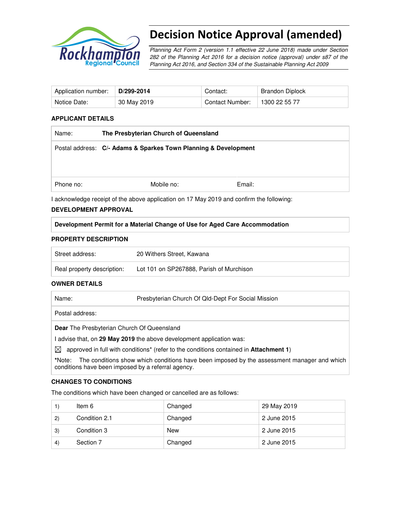

# Decision Notice Approval (amended)

Planning Act Form 2 (version 1.1 effective 22 June 2018) made under Section 282 of the Planning Act 2016 for a decision notice (approval) under s87 of the Planning Act 2016, and Section 334 of the Sustainable Planning Act 2009

| Application number: | D/299-2014  | Contact:        | Brandon Diplock |
|---------------------|-------------|-----------------|-----------------|
| Notice Date:        | 30 May 2019 | Contact Number: | 1300 22 55 77   |

#### **APPLICANT DETAILS**

| Name:                                                                                    | The Presbyterian Church of Queensland                           |        |  |  |
|------------------------------------------------------------------------------------------|-----------------------------------------------------------------|--------|--|--|
|                                                                                          | Postal address: C/- Adams & Sparkes Town Planning & Development |        |  |  |
|                                                                                          |                                                                 |        |  |  |
|                                                                                          |                                                                 |        |  |  |
| Phone no:                                                                                | Mobile no:                                                      | Email: |  |  |
| I acknowledge receipt of the above application on 17 May 2019 and confirm the following: |                                                                 |        |  |  |

#### **DEVELOPMENT APPROVAL**

**Development Permit for a Material Change of Use for Aged Care Accommodation** 

#### **PROPERTY DESCRIPTION**

| Street address:            | 20 Withers Street, Kawana                |
|----------------------------|------------------------------------------|
| Real property description: | Lot 101 on SP267888, Parish of Murchison |

#### **OWNER DETAILS**

| Name: | Presbyterian Church Of Qld-Dept For Social Mission |
|-------|----------------------------------------------------|
|       |                                                    |

Postal address:

**Dear** The Presbyterian Church Of Queensland

I advise that, on **29 May 2019** the above development application was:

 $\boxtimes$  approved in full with conditions<sup>\*</sup> (refer to the conditions contained in **Attachment 1**)

**\***Note:The conditions show which conditions have been imposed by the assessment manager and which conditions have been imposed by a referral agency.

#### **CHANGES TO CONDITIONS**

The conditions which have been changed or cancelled are as follows:

|                  | ltem 6        | Changed | 29 May 2019 |
|------------------|---------------|---------|-------------|
| $\mathbf{2}$     | Condition 2.1 | Changed | 2 June 2015 |
| 3)               | Condition 3   | New     | 2 June 2015 |
| $\left(4\right)$ | Section 7     | Changed | 2 June 2015 |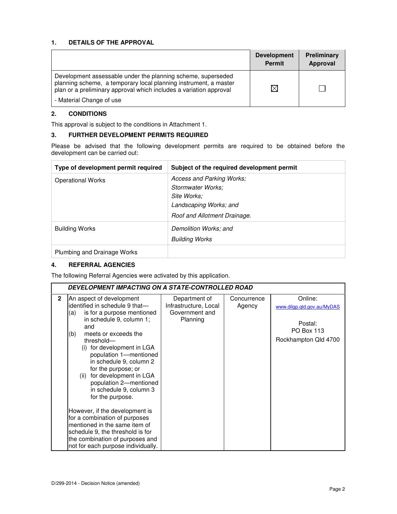### **1. DETAILS OF THE APPROVAL**

|                                                                                                                                                                                                        | <b>Development</b><br><b>Permit</b> | Preliminary<br>Approval |
|--------------------------------------------------------------------------------------------------------------------------------------------------------------------------------------------------------|-------------------------------------|-------------------------|
| Development assessable under the planning scheme, superseded<br>planning scheme, a temporary local planning instrument, a master<br>plan or a preliminary approval which includes a variation approval | ⊠                                   |                         |
| - Material Change of use                                                                                                                                                                               |                                     |                         |

#### **2. CONDITIONS**

This approval is subject to the conditions in Attachment 1.

## **3. FURTHER DEVELOPMENT PERMITS REQUIRED**

Please be advised that the following development permits are required to be obtained before the development can be carried out:

| Type of development permit required | Subject of the required development permit                                                                              |
|-------------------------------------|-------------------------------------------------------------------------------------------------------------------------|
| <b>Operational Works</b>            | Access and Parking Works;<br>Stormwater Works:<br>Site Works:<br>Landscaping Works; and<br>Roof and Allotment Drainage. |
| <b>Building Works</b>               | Demolition Works; and<br><b>Building Works</b>                                                                          |
| Plumbing and Drainage Works         |                                                                                                                         |

## **4. REFERRAL AGENCIES**

The following Referral Agencies were activated by this application.

|              | DEVELOPMENT IMPACTING ON A STATE-CONTROLLED ROAD                                                                                                                                                                                                                                                                                                                                                                                                                                                                                                                                                                         |                                                                      |                       |                                                                                               |  |
|--------------|--------------------------------------------------------------------------------------------------------------------------------------------------------------------------------------------------------------------------------------------------------------------------------------------------------------------------------------------------------------------------------------------------------------------------------------------------------------------------------------------------------------------------------------------------------------------------------------------------------------------------|----------------------------------------------------------------------|-----------------------|-----------------------------------------------------------------------------------------------|--|
| $\mathbf{2}$ | An aspect of development<br>identified in schedule 9 that-<br>is for a purpose mentioned<br>(a)<br>in schedule 9, column 1;<br>and<br>(b)<br>meets or exceeds the<br>threshold-<br>for development in LGA<br>(i)<br>population 1-mentioned<br>in schedule 9, column 2<br>for the purpose; or<br>for development in LGA<br>(ii)<br>population 2-mentioned<br>in schedule 9, column 3<br>for the purpose.<br>However, if the development is<br>for a combination of purposes<br>mentioned in the same item of<br>schedule 9, the threshold is for<br>the combination of purposes and<br>not for each purpose individually. | Department of<br>Infrastructure, Local<br>Government and<br>Planning | Concurrence<br>Agency | Online:<br>www.dilgp.gld.gov.au/MyDAS<br>Postal:<br><b>PO Box 113</b><br>Rockhampton Qld 4700 |  |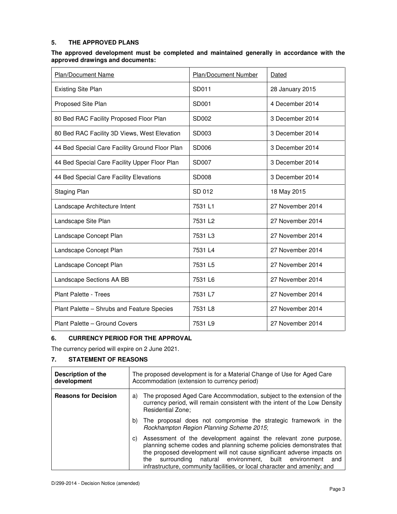### **5. THE APPROVED PLANS**

#### **The approved development must be completed and maintained generally in accordance with the approved drawings and documents:**

| Plan/Document Name                             | Plan/Document Number | Dated            |
|------------------------------------------------|----------------------|------------------|
| <b>Existing Site Plan</b>                      | SD011                | 28 January 2015  |
| Proposed Site Plan                             | SD001                | 4 December 2014  |
| 80 Bed RAC Facility Proposed Floor Plan        | SD002                | 3 December 2014  |
| 80 Bed RAC Facility 3D Views, West Elevation   | SD003                | 3 December 2014  |
| 44 Bed Special Care Facility Ground Floor Plan | SD006                | 3 December 2014  |
| 44 Bed Special Care Facility Upper Floor Plan  | SD007                | 3 December 2014  |
| 44 Bed Special Care Facility Elevations        | <b>SD008</b>         | 3 December 2014  |
| <b>Staging Plan</b>                            | SD 012               | 18 May 2015      |
| Landscape Architecture Intent                  | 7531 L1              | 27 November 2014 |
| Landscape Site Plan                            | 7531 L <sub>2</sub>  | 27 November 2014 |
| Landscape Concept Plan                         | 7531 L3              | 27 November 2014 |
| Landscape Concept Plan                         | 7531 L4              | 27 November 2014 |
| Landscape Concept Plan                         | 7531 L5              | 27 November 2014 |
| Landscape Sections AA BB                       | 7531 L6              | 27 November 2014 |
| Plant Palette - Trees                          | 7531 L7              | 27 November 2014 |
| Plant Palette - Shrubs and Feature Species     | 7531 L8              | 27 November 2014 |
| Plant Palette - Ground Covers                  | 7531 L9              | 27 November 2014 |

#### **6. CURRENCY PERIOD FOR THE APPROVAL**

The currency period will expire on 2 June 2021.

#### **7. STATEMENT OF REASONS**

| Description of the<br>development | The proposed development is for a Material Change of Use for Aged Care<br>Accommodation (extension to currency period)                                                                                                                                                                                                                                                 |  |
|-----------------------------------|------------------------------------------------------------------------------------------------------------------------------------------------------------------------------------------------------------------------------------------------------------------------------------------------------------------------------------------------------------------------|--|
| <b>Reasons for Decision</b>       | The proposed Aged Care Accommodation, subject to the extension of the<br>a)<br>currency period, will remain consistent with the intent of the Low Density<br>Residential Zone;                                                                                                                                                                                         |  |
|                                   | b) The proposal does not compromise the strategic framework in the<br>Rockhampton Region Planning Scheme 2015;                                                                                                                                                                                                                                                         |  |
|                                   | Assessment of the development against the relevant zone purpose,<br>C)<br>planning scheme codes and planning scheme policies demonstrates that<br>the proposed development will not cause significant adverse impacts on<br>surrounding natural environment, built environment and<br>the<br>infrastructure, community facilities, or local character and amenity; and |  |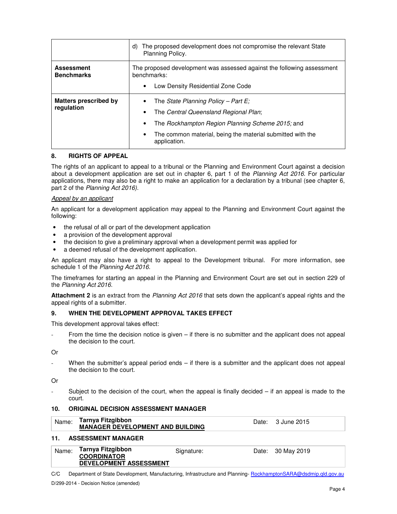|                                            | The proposed development does not compromise the relevant State<br>d)<br>Planning Policy.                                                                                                                                                             |  |  |
|--------------------------------------------|-------------------------------------------------------------------------------------------------------------------------------------------------------------------------------------------------------------------------------------------------------|--|--|
| <b>Assessment</b><br><b>Benchmarks</b>     | The proposed development was assessed against the following assessment<br>benchmarks:                                                                                                                                                                 |  |  |
|                                            | Low Density Residential Zone Code<br>$\bullet$                                                                                                                                                                                                        |  |  |
| <b>Matters prescribed by</b><br>regulation | The State Planning Policy – Part E:<br>$\bullet$<br>The Central Queensland Regional Plan;<br>$\bullet$<br>The Rockhampton Region Planning Scheme 2015; and<br>$\bullet$<br>The common material, being the material submitted with the<br>application. |  |  |

#### **8. RIGHTS OF APPEAL**

The rights of an applicant to appeal to a tribunal or the Planning and Environment Court against a decision about a development application are set out in chapter 6, part 1 of the Planning Act 2016. For particular applications, there may also be a right to make an application for a declaration by a tribunal (see chapter 6, part 2 of the Planning Act 2016).

#### Appeal by an applicant

An applicant for a development application may appeal to the Planning and Environment Court against the following:

- the refusal of all or part of the development application
- a provision of the development approval
- the decision to give a preliminary approval when a development permit was applied for
- a deemed refusal of the development application.

An applicant may also have a right to appeal to the Development tribunal. For more information, see schedule 1 of the Planning Act 2016.

The timeframes for starting an appeal in the Planning and Environment Court are set out in section 229 of the Planning Act 2016.

**Attachment 2** is an extract from the Planning Act 2016 that sets down the applicant's appeal rights and the appeal rights of a submitter.

#### **9. WHEN THE DEVELOPMENT APPROVAL TAKES EFFECT**

This development approval takes effect:

From the time the decision notice is given  $-$  if there is no submitter and the applicant does not appeal the decision to the court.

Or

When the submitter's appeal period ends – if there is a submitter and the applicant does not appeal the decision to the court.

Or

Subject to the decision of the court, when the appeal is finally decided  $-$  if an appeal is made to the court.

#### **10. ORIGINAL DECISION ASSESSMENT MANAGER**

| Name: | Tarnya Fitzgibbon                       |            | Date: 3 June 2015 |  |
|-------|-----------------------------------------|------------|-------------------|--|
|       | <b>MANAGER DEVELOPMENT AND BUILDING</b> |            |                   |  |
| 11.   | <b>ASSESSMENT MANAGER</b>               |            |                   |  |
| Name: | Tarnya Fitzgibbon<br><b>COORDINATOR</b> | Signature: | Date: 30 May 2019 |  |
|       | <b>DEVELOPMENT ASSESSMENT</b>           |            |                   |  |

C/C Department of State Development, Manufacturing, Infrastructure and Planning- RockhamptonSARA@dsdmip.qld.gov.au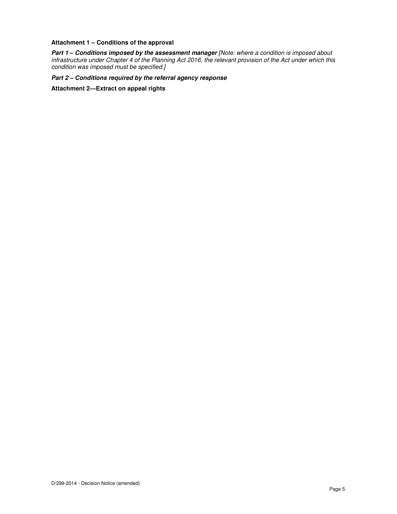#### **Attachment 1 – Conditions of the approval**

**Part 1 – Conditions imposed by the assessment manager** [Note: where a condition is imposed about infrastructure under Chapter 4 of the Planning Act 2016, the relevant provision of the Act under which this condition was imposed must be specified.]

**Part 2 – Conditions required by the referral agency response** 

**Attachment 2—Extract on appeal rights**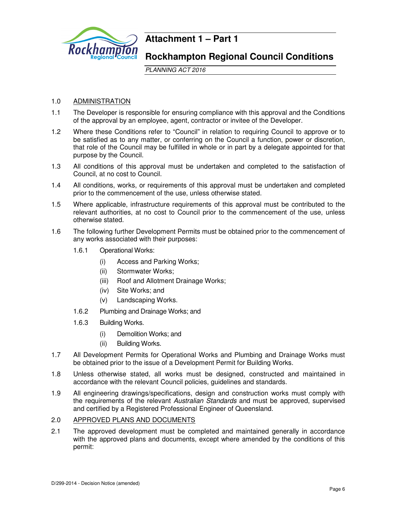

# **Attachment 1 – Part 1**

# **Rockhampton Regional Council Conditions**

PLANNING ACT 2016

# 1.0 ADMINISTRATION

- 1.1 The Developer is responsible for ensuring compliance with this approval and the Conditions of the approval by an employee, agent, contractor or invitee of the Developer.
- 1.2 Where these Conditions refer to "Council" in relation to requiring Council to approve or to be satisfied as to any matter, or conferring on the Council a function, power or discretion, that role of the Council may be fulfilled in whole or in part by a delegate appointed for that purpose by the Council.
- 1.3 All conditions of this approval must be undertaken and completed to the satisfaction of Council, at no cost to Council.
- 1.4 All conditions, works, or requirements of this approval must be undertaken and completed prior to the commencement of the use, unless otherwise stated.
- 1.5 Where applicable, infrastructure requirements of this approval must be contributed to the relevant authorities, at no cost to Council prior to the commencement of the use, unless otherwise stated.
- 1.6 The following further Development Permits must be obtained prior to the commencement of any works associated with their purposes:
	- 1.6.1 Operational Works:
		- (i) Access and Parking Works;
		- (ii) Stormwater Works;
		- (iii) Roof and Allotment Drainage Works;
		- (iv) Site Works; and
		- (v) Landscaping Works.
	- 1.6.2 Plumbing and Drainage Works; and
	- 1.6.3 Building Works.
		- (i) Demolition Works; and
		- (ii) Building Works.
- 1.7 All Development Permits for Operational Works and Plumbing and Drainage Works must be obtained prior to the issue of a Development Permit for Building Works.
- 1.8 Unless otherwise stated, all works must be designed, constructed and maintained in accordance with the relevant Council policies, guidelines and standards.
- 1.9 All engineering drawings/specifications, design and construction works must comply with the requirements of the relevant Australian Standards and must be approved, supervised and certified by a Registered Professional Engineer of Queensland.

### 2.0 APPROVED PLANS AND DOCUMENTS

2.1 The approved development must be completed and maintained generally in accordance with the approved plans and documents, except where amended by the conditions of this permit: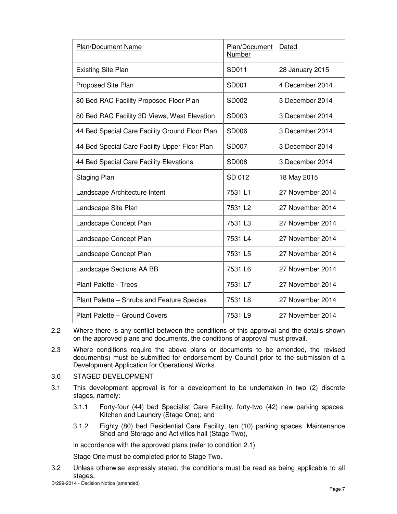| Plan/Document Name                             | Plan/Document<br>Number | Dated            |
|------------------------------------------------|-------------------------|------------------|
| <b>Existing Site Plan</b>                      | SD011                   | 28 January 2015  |
| Proposed Site Plan                             | SD001                   | 4 December 2014  |
| 80 Bed RAC Facility Proposed Floor Plan        | SD002                   | 3 December 2014  |
| 80 Bed RAC Facility 3D Views, West Elevation   | SD003                   | 3 December 2014  |
| 44 Bed Special Care Facility Ground Floor Plan | SD006                   | 3 December 2014  |
| 44 Bed Special Care Facility Upper Floor Plan  | SD007                   | 3 December 2014  |
| 44 Bed Special Care Facility Elevations        | <b>SD008</b>            | 3 December 2014  |
| <b>Staging Plan</b>                            | SD 012                  | 18 May 2015      |
| Landscape Architecture Intent                  | 7531L1                  | 27 November 2014 |
| Landscape Site Plan                            | 7531 L <sub>2</sub>     | 27 November 2014 |
| Landscape Concept Plan                         | 7531 L3                 | 27 November 2014 |
| Landscape Concept Plan                         | 7531 L4                 | 27 November 2014 |
| Landscape Concept Plan                         | 7531 L5                 | 27 November 2014 |
| Landscape Sections AA BB                       | 7531 L6                 | 27 November 2014 |
| <b>Plant Palette - Trees</b>                   | 7531 L7                 | 27 November 2014 |
| Plant Palette - Shrubs and Feature Species     | 7531 L8                 | 27 November 2014 |
| Plant Palette - Ground Covers                  | 7531 L9                 | 27 November 2014 |

- 2.2 Where there is any conflict between the conditions of this approval and the details shown on the approved plans and documents, the conditions of approval must prevail.
- 2.3 Where conditions require the above plans or documents to be amended, the revised document(s) must be submitted for endorsement by Council prior to the submission of a Development Application for Operational Works.

# 3.0 STAGED DEVELOPMENT

- 3.1 This development approval is for a development to be undertaken in two (2) discrete stages, namely:
	- 3.1.1 Forty-four (44) bed Specialist Care Facility, forty-two (42) new parking spaces, Kitchen and Laundry (Stage One); and
	- 3.1.2 Eighty (80) bed Residential Care Facility, ten (10) parking spaces, Maintenance Shed and Storage and Activities hall (Stage Two),

in accordance with the approved plans (refer to condition 2.1).

Stage One must be completed prior to Stage Two.

3.2 Unless otherwise expressly stated, the conditions must be read as being applicable to all stages.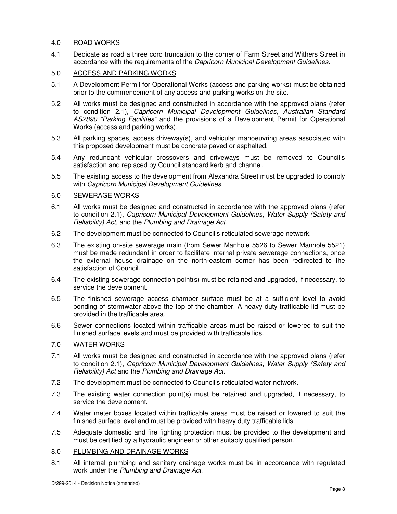# 4.0 ROAD WORKS

4.1 Dedicate as road a three cord truncation to the corner of Farm Street and Withers Street in accordance with the requirements of the Capricorn Municipal Development Guidelines.

# 5.0 ACCESS AND PARKING WORKS

- 5.1 A Development Permit for Operational Works (access and parking works) must be obtained prior to the commencement of any access and parking works on the site.
- 5.2 All works must be designed and constructed in accordance with the approved plans (refer to condition 2.1), Capricorn Municipal Development Guidelines, Australian Standard AS2890 "Parking Facilities" and the provisions of a Development Permit for Operational Works (access and parking works).
- 5.3 All parking spaces, access driveway(s), and vehicular manoeuvring areas associated with this proposed development must be concrete paved or asphalted.
- 5.4 Any redundant vehicular crossovers and driveways must be removed to Council's satisfaction and replaced by Council standard kerb and channel.
- 5.5 The existing access to the development from Alexandra Street must be upgraded to comply with Capricorn Municipal Development Guidelines.

### 6.0 SEWERAGE WORKS

- 6.1 All works must be designed and constructed in accordance with the approved plans (refer to condition 2.1), Capricorn Municipal Development Guidelines, Water Supply (Safety and Reliability) Act, and the Plumbing and Drainage Act.
- 6.2 The development must be connected to Council's reticulated sewerage network.
- 6.3 The existing on-site sewerage main (from Sewer Manhole 5526 to Sewer Manhole 5521) must be made redundant in order to facilitate internal private sewerage connections, once the external house drainage on the north-eastern corner has been redirected to the satisfaction of Council.
- 6.4 The existing sewerage connection point(s) must be retained and upgraded, if necessary, to service the development.
- 6.5 The finished sewerage access chamber surface must be at a sufficient level to avoid ponding of stormwater above the top of the chamber. A heavy duty trafficable lid must be provided in the trafficable area.
- 6.6 Sewer connections located within trafficable areas must be raised or lowered to suit the finished surface levels and must be provided with trafficable lids.

#### 7.0 WATER WORKS

- 7.1 All works must be designed and constructed in accordance with the approved plans (refer to condition 2.1), Capricorn Municipal Development Guidelines, Water Supply (Safety and Reliability) Act and the Plumbing and Drainage Act.
- 7.2 The development must be connected to Council's reticulated water network.
- 7.3 The existing water connection point(s) must be retained and upgraded, if necessary, to service the development.
- 7.4 Water meter boxes located within trafficable areas must be raised or lowered to suit the finished surface level and must be provided with heavy duty trafficable lids.
- 7.5 Adequate domestic and fire fighting protection must be provided to the development and must be certified by a hydraulic engineer or other suitably qualified person.
- 8.0 PLUMBING AND DRAINAGE WORKS
- 8.1 All internal plumbing and sanitary drainage works must be in accordance with regulated work under the Plumbing and Drainage Act.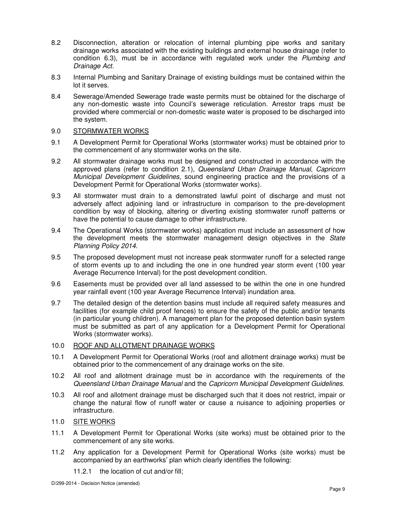- 8.2 Disconnection, alteration or relocation of internal plumbing pipe works and sanitary drainage works associated with the existing buildings and external house drainage (refer to condition 6.3), must be in accordance with regulated work under the Plumbing and Drainage Act.
- 8.3 Internal Plumbing and Sanitary Drainage of existing buildings must be contained within the lot it serves.
- 8.4 Sewerage/Amended Sewerage trade waste permits must be obtained for the discharge of any non-domestic waste into Council's sewerage reticulation. Arrestor traps must be provided where commercial or non-domestic waste water is proposed to be discharged into the system.

### 9.0 STORMWATER WORKS

- 9.1 A Development Permit for Operational Works (stormwater works) must be obtained prior to the commencement of any stormwater works on the site.
- 9.2 All stormwater drainage works must be designed and constructed in accordance with the approved plans (refer to condition 2.1), Queensland Urban Drainage Manual, Capricorn Municipal Development Guidelines, sound engineering practice and the provisions of a Development Permit for Operational Works (stormwater works).
- 9.3 All stormwater must drain to a demonstrated lawful point of discharge and must not adversely affect adjoining land or infrastructure in comparison to the pre-development condition by way of blocking, altering or diverting existing stormwater runoff patterns or have the potential to cause damage to other infrastructure.
- 9.4 The Operational Works (stormwater works) application must include an assessment of how the development meets the stormwater management design objectives in the State Planning Policy 2014.
- 9.5 The proposed development must not increase peak stormwater runoff for a selected range of storm events up to and including the one in one hundred year storm event (100 year Average Recurrence Interval) for the post development condition.
- 9.6 Easements must be provided over all land assessed to be within the one in one hundred year rainfall event (100 year Average Recurrence Interval) inundation area.
- 9.7 The detailed design of the detention basins must include all required safety measures and facilities (for example child proof fences) to ensure the safety of the public and/or tenants (in particular young children). A management plan for the proposed detention basin system must be submitted as part of any application for a Development Permit for Operational Works (stormwater works).

# 10.0 ROOF AND ALLOTMENT DRAINAGE WORKS

- 10.1 A Development Permit for Operational Works (roof and allotment drainage works) must be obtained prior to the commencement of any drainage works on the site.
- 10.2 All roof and allotment drainage must be in accordance with the requirements of the Queensland Urban Drainage Manual and the Capricorn Municipal Development Guidelines.
- 10.3 All roof and allotment drainage must be discharged such that it does not restrict, impair or change the natural flow of runoff water or cause a nuisance to adjoining properties or infrastructure.

### 11.0 SITE WORKS

- 11.1 A Development Permit for Operational Works (site works) must be obtained prior to the commencement of any site works.
- 11.2 Any application for a Development Permit for Operational Works (site works) must be accompanied by an earthworks' plan which clearly identifies the following:
	- 11.2.1 the location of cut and/or fill;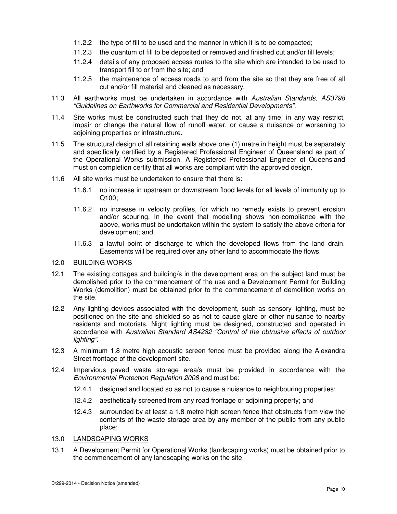- 11.2.2 the type of fill to be used and the manner in which it is to be compacted;
- 11.2.3 the quantum of fill to be deposited or removed and finished cut and/or fill levels;
- 11.2.4 details of any proposed access routes to the site which are intended to be used to transport fill to or from the site; and
- 11.2.5 the maintenance of access roads to and from the site so that they are free of all cut and/or fill material and cleaned as necessary.
- 11.3 All earthworks must be undertaken in accordance with Australian Standards, AS3798 "Guidelines on Earthworks for Commercial and Residential Developments".
- 11.4 Site works must be constructed such that they do not, at any time, in any way restrict, impair or change the natural flow of runoff water, or cause a nuisance or worsening to adjoining properties or infrastructure.
- 11.5 The structural design of all retaining walls above one (1) metre in height must be separately and specifically certified by a Registered Professional Engineer of Queensland as part of the Operational Works submission. A Registered Professional Engineer of Queensland must on completion certify that all works are compliant with the approved design.
- 11.6 All site works must be undertaken to ensure that there is:
	- 11.6.1 no increase in upstream or downstream flood levels for all levels of immunity up to Q100;
	- 11.6.2 no increase in velocity profiles, for which no remedy exists to prevent erosion and/or scouring. In the event that modelling shows non-compliance with the above, works must be undertaken within the system to satisfy the above criteria for development; and
	- 11.6.3 a lawful point of discharge to which the developed flows from the land drain. Easements will be required over any other land to accommodate the flows.

#### 12.0 BUILDING WORKS

- 12.1 The existing cottages and building/s in the development area on the subject land must be demolished prior to the commencement of the use and a Development Permit for Building Works (demolition) must be obtained prior to the commencement of demolition works on the site.
- 12.2 Any lighting devices associated with the development, such as sensory lighting, must be positioned on the site and shielded so as not to cause glare or other nuisance to nearby residents and motorists. Night lighting must be designed, constructed and operated in accordance with Australian Standard AS4282 "Control of the obtrusive effects of outdoor lighting".
- 12.3 A minimum 1.8 metre high acoustic screen fence must be provided along the Alexandra Street frontage of the development site.
- 12.4 Impervious paved waste storage area/s must be provided in accordance with the Environmental Protection Regulation 2008 and must be:
	- 12.4.1 designed and located so as not to cause a nuisance to neighbouring properties;
	- 12.4.2 aesthetically screened from any road frontage or adjoining property; and
	- 12.4.3 surrounded by at least a 1.8 metre high screen fence that obstructs from view the contents of the waste storage area by any member of the public from any public place;
- 13.0 LANDSCAPING WORKS
- 13.1 A Development Permit for Operational Works (landscaping works) must be obtained prior to the commencement of any landscaping works on the site.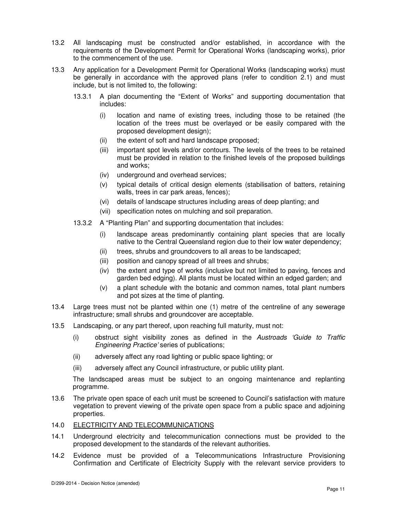- 13.2 All landscaping must be constructed and/or established, in accordance with the requirements of the Development Permit for Operational Works (landscaping works), prior to the commencement of the use.
- 13.3 Any application for a Development Permit for Operational Works (landscaping works) must be generally in accordance with the approved plans (refer to condition 2.1) and must include, but is not limited to, the following:
	- 13.3.1 A plan documenting the "Extent of Works" and supporting documentation that includes:
		- (i) location and name of existing trees, including those to be retained (the location of the trees must be overlayed or be easily compared with the proposed development design);
		- (ii) the extent of soft and hard landscape proposed;
		- (iii) important spot levels and/or contours. The levels of the trees to be retained must be provided in relation to the finished levels of the proposed buildings and works;
		- (iv) underground and overhead services;
		- (v) typical details of critical design elements (stabilisation of batters, retaining walls, trees in car park areas, fences);
		- (vi) details of landscape structures including areas of deep planting; and
		- (vii) specification notes on mulching and soil preparation.
	- 13.3.2 A "Planting Plan" and supporting documentation that includes:
		- (i) landscape areas predominantly containing plant species that are locally native to the Central Queensland region due to their low water dependency;
		- (ii) trees, shrubs and groundcovers to all areas to be landscaped;
		- (iii) position and canopy spread of all trees and shrubs;
		- (iv) the extent and type of works (inclusive but not limited to paving, fences and garden bed edging). All plants must be located within an edged garden; and
		- (v) a plant schedule with the botanic and common names, total plant numbers and pot sizes at the time of planting.
- 13.4 Large trees must not be planted within one (1) metre of the centreline of any sewerage infrastructure; small shrubs and groundcover are acceptable.
- 13.5 Landscaping, or any part thereof, upon reaching full maturity, must not:
	- (i) obstruct sight visibility zones as defined in the Austroads 'Guide to Traffic Engineering Practice' series of publications;
	- (ii) adversely affect any road lighting or public space lighting; or
	- (iii) adversely affect any Council infrastructure, or public utility plant.

The landscaped areas must be subject to an ongoing maintenance and replanting programme.

- 13.6 The private open space of each unit must be screened to Council's satisfaction with mature vegetation to prevent viewing of the private open space from a public space and adjoining properties.
- 14.0 ELECTRICITY AND TELECOMMUNICATIONS
- 14.1 Underground electricity and telecommunication connections must be provided to the proposed development to the standards of the relevant authorities.
- 14.2 Evidence must be provided of a Telecommunications Infrastructure Provisioning Confirmation and Certificate of Electricity Supply with the relevant service providers to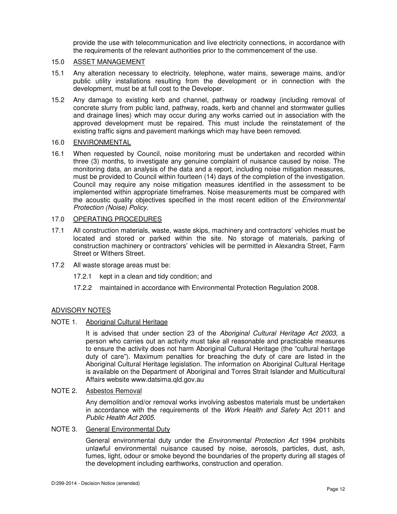provide the use with telecommunication and live electricity connections, in accordance with the requirements of the relevant authorities prior to the commencement of the use.

### 15.0 ASSET MANAGEMENT

- 15.1 Any alteration necessary to electricity, telephone, water mains, sewerage mains, and/or public utility installations resulting from the development or in connection with the development, must be at full cost to the Developer.
- 15.2 Any damage to existing kerb and channel, pathway or roadway (including removal of concrete slurry from public land, pathway, roads, kerb and channel and stormwater gullies and drainage lines) which may occur during any works carried out in association with the approved development must be repaired. This must include the reinstatement of the existing traffic signs and pavement markings which may have been removed.

### 16.0 ENVIRONMENTAL

16.1 When requested by Council, noise monitoring must be undertaken and recorded within three (3) months, to investigate any genuine complaint of nuisance caused by noise. The monitoring data, an analysis of the data and a report, including noise mitigation measures, must be provided to Council within fourteen (14) days of the completion of the investigation. Council may require any noise mitigation measures identified in the assessment to be implemented within appropriate timeframes. Noise measurements must be compared with the acoustic quality objectives specified in the most recent edition of the *Environmental* Protection (Noise) Policy.

### 17.0 OPERATING PROCEDURES

- 17.1 All construction materials, waste, waste skips, machinery and contractors' vehicles must be located and stored or parked within the site. No storage of materials, parking of construction machinery or contractors' vehicles will be permitted in Alexandra Street, Farm Street or Withers Street.
- 17.2 All waste storage areas must be:
	- 17.2.1 kept in a clean and tidy condition; and
	- 17.2.2 maintained in accordance with Environmental Protection Regulation 2008.

# ADVISORY NOTES

#### NOTE 1. Aboriginal Cultural Heritage

It is advised that under section 23 of the Aboriginal Cultural Heritage Act 2003, a person who carries out an activity must take all reasonable and practicable measures to ensure the activity does not harm Aboriginal Cultural Heritage (the "cultural heritage duty of care"). Maximum penalties for breaching the duty of care are listed in the Aboriginal Cultural Heritage legislation. The information on Aboriginal Cultural Heritage is available on the Department of Aboriginal and Torres Strait Islander and Multicultural Affairs website www.datsima.qld.gov.au

#### NOTE 2. Asbestos Removal

Any demolition and/or removal works involving asbestos materials must be undertaken in accordance with the requirements of the Work Health and Safety Act 2011 and Public Health Act 2005.

# NOTE 3. General Environmental Duty

General environmental duty under the *Environmental Protection Act* 1994 prohibits unlawful environmental nuisance caused by noise, aerosols, particles, dust, ash, fumes, light, odour or smoke beyond the boundaries of the property during all stages of the development including earthworks, construction and operation.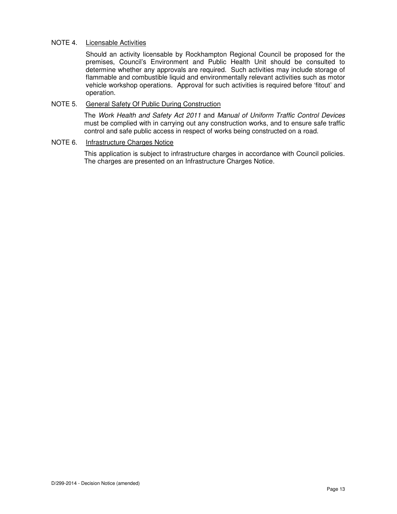### NOTE 4. Licensable Activities

Should an activity licensable by Rockhampton Regional Council be proposed for the premises, Council's Environment and Public Health Unit should be consulted to determine whether any approvals are required. Such activities may include storage of flammable and combustible liquid and environmentally relevant activities such as motor vehicle workshop operations. Approval for such activities is required before 'fitout' and operation.

## NOTE 5. General Safety Of Public During Construction

The Work Health and Safety Act 2011 and Manual of Uniform Traffic Control Devices must be complied with in carrying out any construction works, and to ensure safe traffic control and safe public access in respect of works being constructed on a road.

## NOTE 6. Infrastructure Charges Notice

This application is subject to infrastructure charges in accordance with Council policies. The charges are presented on an Infrastructure Charges Notice.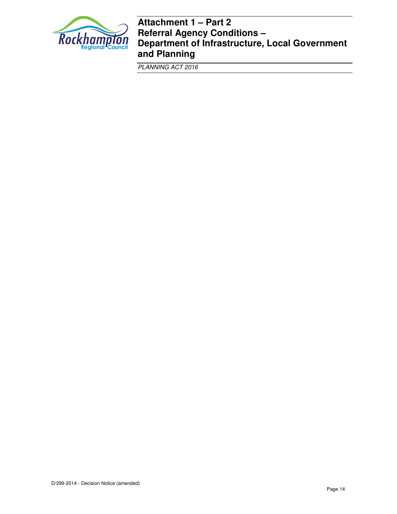

# **Attachment 1 – Part 2 Referral Agency Conditions – Department of Infrastructure, Local Government and Planning**

PLANNING ACT 2016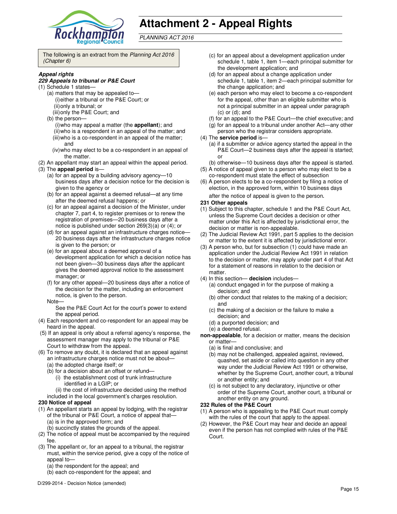

# **Attachment 2 - Appeal Rights**

PLANNING ACT 2016

The following is an extract from the Planning Act 2016 (Chapter 6)

#### **Appeal rights**

#### **229 Appeals to tribunal or P&E Court**

- (1) Schedule 1 states—
	- (a) matters that may be appealed to— (i) either a tribunal or the P&E Court; or (ii) only a tribunal; or (iii) only the P&E Court; and
	- (b) the person—
		- (i) who may appeal a matter (the **appellant**); and (ii) who is a respondent in an appeal of the matter; and (iii) who is a co-respondent in an appeal of the matter; and
		- (iv) who may elect to be a co-respondent in an appeal of the matter.
- (2) An appellant may start an appeal within the appeal period.
- (3) The **appeal period** is—
	- (a) for an appeal by a building advisory agency—10 business days after a decision notice for the decision is given to the agency or
	- (b) for an appeal against a deemed refusal—at any time after the deemed refusal happens; or
	- (c) for an appeal against a decision of the Minister, under chapter 7, part 4, to register premises or to renew the registration of premises—20 business days after a notice is published under section 269(3)(a) or (4); or
	- (d) for an appeal against an infrastructure charges notice— 20 business days after the infrastructure charges notice is given to the person; or
	- (e) for an appeal about a deemed approval of a development application for which a decision notice has not been given—30 business days after the applicant gives the deemed approval notice to the assessment manager; or
	- (f) for any other appeal—20 business days after a notice of the decision for the matter, including an enforcement notice, is given to the person.
	- Note—

See the P&E Court Act for the court's power to extend the appeal period.

- (4) Each respondent and co-respondent for an appeal may be heard in the appeal.
- (5) If an appeal is only about a referral agency's response, the assessment manager may apply to the tribunal or P&E Court to withdraw from the appeal.
- (6) To remove any doubt, it is declared that an appeal against an infrastructure charges notice must not be about—
	- (a) the adopted charge itself; or
	- (b) for a decision about an offset or refund—
		- (i) the establishment cost of trunk infrastructure identified in a LGIP; or
	- (ii) the cost of infrastructure decided using the method included in the local government's charges resolution.

#### **230 Notice of appeal**

- (1) An appellant starts an appeal by lodging, with the registrar of the tribunal or P&E Court, a notice of appeal that— (a) is in the approved form; and
	- (b) succinctly states the grounds of the appeal.
- (2) The notice of appeal must be accompanied by the required fee.
- (3) The appellant or, for an appeal to a tribunal, the registrar must, within the service period, give a copy of the notice of appeal to-
	- (a) the respondent for the appeal; and
	- (b) each co-respondent for the appeal; and
- (c) for an appeal about a development application under schedule 1, table 1, item 1—each principal submitter for the development application; and
- (d) for an appeal about a change application under schedule 1, table 1, item 2—each principal submitter for the change application; and
- (e) each person who may elect to become a co-respondent for the appeal, other than an eligible submitter who is not a principal submitter in an appeal under paragraph (c) or (d); and
- (f) for an appeal to the P&E Court—the chief executive; and
- (g) for an appeal to a tribunal under another Act—any other
- person who the registrar considers appropriate.

#### (4) The **service period** is—

- (a) if a submitter or advice agency started the appeal in the P&E Court-2 business days after the appeal is started; or
- (b) otherwise—10 business days after the appeal is started.
- (5) A notice of appeal given to a person who may elect to be a co-respondent must state the effect of subsection
- (6) A person elects to be a co-respondent by filing a notice of election, in the approved form, within 10 business days after the notice of appeal is given to the person*.*

#### **231 Other appeals**

- (1) Subject to this chapter, schedule 1 and the P&E Court Act, unless the Supreme Court decides a decision or other matter under this Act is affected by jurisdictional error, the decision or matter is non-appealable.
- (2) The Judicial Review Act 1991, part 5 applies to the decision or matter to the extent it is affected by jurisdictional error.
- (3) A person who, but for subsection (1) could have made an application under the Judicial Review Act 1991 in relation to the decision or matter, may apply under part 4 of that Act for a statement of reasons in relation to the decision or matter.
- (4) In this section— **decision** includes—
	- (a) conduct engaged in for the purpose of making a decision; and
	- (b) other conduct that relates to the making of a decision; and
	- (c) the making of a decision or the failure to make a decision; and
	- (d) a purported decision; and
	- (e) a deemed refusal.
- **non-appealable**, for a decision or matter, means the decision or matter—
	- (a) is final and conclusive; and
	- (b) may not be challenged, appealed against, reviewed, quashed, set aside or called into question in any other way under the Judicial Review Act 1991 or otherwise, whether by the Supreme Court, another court, a tribunal or another entity; and
	- (c) is not subject to any declaratory, injunctive or other order of the Supreme Court, another court, a tribunal or another entity on any ground.

#### **232 Rules of the P&E Court**

- (1) A person who is appealing to the P&E Court must comply with the rules of the court that apply to the appeal.
- (2) However, the P&E Court may hear and decide an appeal even if the person has not complied with rules of the P&E Court.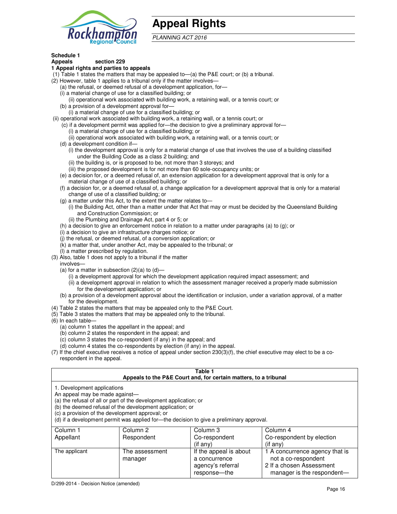

# **Appeal Rights**

PLANNING ACT 2016

## **Schedule 1**

#### **Appeals section 229 1 Appeal rights and parties to appeals**

- (1) Table 1 states the matters that may be appealed to—(a) the P&E court; or (b) a tribunal.
- (2) However, table 1 applies to a tribunal only if the matter involves—
	- (a) the refusal, or deemed refusal of a development application, for—
	- (i) a material change of use for a classified building; or
	- (ii) operational work associated with building work, a retaining wall, or a tennis court; or (b) a provision of a development approval for—
	- (i) a material change of use for a classified building; or
- (ii) operational work associated with building work, a retaining wall, or a tennis court; or
	- (c) if a development permit was applied for—the decision to give a preliminary approval for—
		- (i) a material change of use for a classified building; or
		- (ii) operational work associated with building work, a retaining wall, or a tennis court; or
	- (d) a development condition if—
		- (i) the development approval is only for a material change of use that involves the use of a building classified under the Building Code as a class 2 building; and
		- (ii) the building is, or is proposed to be, not more than 3 storeys; and
		- (iii) the proposed development is for not more than 60 sole-occupancy units; or
	- (e) a decision for, or a deemed refusal of, an extension application for a development approval that is only for a material change of use of a classified building; or
	- (f) a decision for, or a deemed refusal of, a change application for a development approval that is only for a material change of use of a classified building; or
	- (g) a matter under this Act, to the extent the matter relates to—
		- (i) the Building Act, other than a matter under that Act that may or must be decided by the Queensland Building and Construction Commission; or
		- (ii) the Plumbing and Drainage Act, part 4 or 5; or
	- (h) a decision to give an enforcement notice in relation to a matter under paragraphs (a) to (g); or
	- (i) a decision to give an infrastructure charges notice; or
	- (j) the refusal, or deemed refusal, of a conversion application; or
	- (k) a matter that, under another Act, may be appealed to the tribunal; or
	- (l) a matter prescribed by regulation.
- (3) Also, table 1 does not apply to a tribunal if the matter
- involves—
	- (a) for a matter in subsection  $(2)(a)$  to  $(d)$ 
		- (i) a development approval for which the development application required impact assessment; and
		- (ii) a development approval in relation to which the assessment manager received a properly made submission for the development application; or
	- (b) a provision of a development approval about the identification or inclusion, under a variation approval, of a matter for the development.
- (4) Table 2 states the matters that may be appealed only to the P&E Court.
- (5) Table 3 states the matters that may be appealed only to the tribunal.
- (6) In each table—
	- (a) column 1 states the appellant in the appeal; and
	- (b) column 2 states the respondent in the appeal; and
	- (c) column 3 states the co-respondent (if any) in the appeal; and
	- (d) column 4 states the co-respondents by election (if any) in the appeal.
- (7) If the chief executive receives a notice of appeal under section 230(3)(f), the chief executive may elect to be a corespondent in the appeal.

| Table 1<br>Appeals to the P&E Court and, for certain matters, to a tribunal                                                                                                                                                                                                                                                                    |                                   |                                                                          |                                                                                               |
|------------------------------------------------------------------------------------------------------------------------------------------------------------------------------------------------------------------------------------------------------------------------------------------------------------------------------------------------|-----------------------------------|--------------------------------------------------------------------------|-----------------------------------------------------------------------------------------------|
| 1. Development applications<br>An appeal may be made against-<br>(a) the refusal of all or part of the development application; or<br>(b) the deemed refusal of the development application; or<br>(c) a provision of the development approval; or<br>(d) if a development permit was applied for—the decision to give a preliminary approval. |                                   |                                                                          |                                                                                               |
| Column 1<br>Appellant                                                                                                                                                                                                                                                                                                                          | Column <sub>2</sub><br>Respondent | Column 3<br>Co-respondent                                                | Column 4<br>Co-respondent by election                                                         |
| The applicant                                                                                                                                                                                                                                                                                                                                  | The assessment<br>manager         | (if any)<br>If the appeal is about<br>a concurrence<br>agency's referral | (if any)<br>1 A concurrence agency that is<br>not a co-respondent<br>2 If a chosen Assessment |

response—the

manager is the respondent-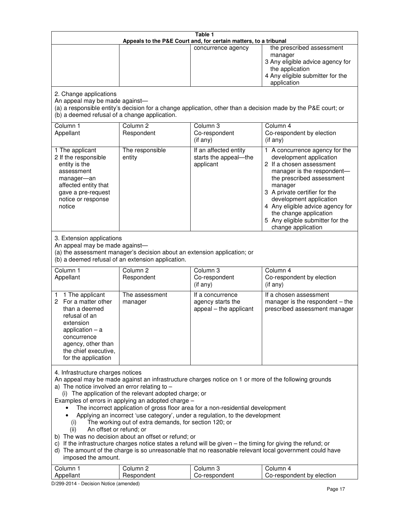| Table 1<br>Appeals to the P&E Court and, for certain matters, to a tribunal                                                                                                                                                                                                                                                                                                                                                                                                                                                                                                                                                                                                                                                                                                                                                                                                                                                                                       |                                   |                                                                 |                                                                                                                                                                                                                                                                                                                                                 |
|-------------------------------------------------------------------------------------------------------------------------------------------------------------------------------------------------------------------------------------------------------------------------------------------------------------------------------------------------------------------------------------------------------------------------------------------------------------------------------------------------------------------------------------------------------------------------------------------------------------------------------------------------------------------------------------------------------------------------------------------------------------------------------------------------------------------------------------------------------------------------------------------------------------------------------------------------------------------|-----------------------------------|-----------------------------------------------------------------|-------------------------------------------------------------------------------------------------------------------------------------------------------------------------------------------------------------------------------------------------------------------------------------------------------------------------------------------------|
|                                                                                                                                                                                                                                                                                                                                                                                                                                                                                                                                                                                                                                                                                                                                                                                                                                                                                                                                                                   |                                   | concurrence agency                                              | the prescribed assessment<br>manager<br>3 Any eligible advice agency for<br>the application<br>4 Any eligible submitter for the<br>application                                                                                                                                                                                                  |
| 2. Change applications<br>An appeal may be made against-<br>(b) a deemed refusal of a change application.                                                                                                                                                                                                                                                                                                                                                                                                                                                                                                                                                                                                                                                                                                                                                                                                                                                         |                                   |                                                                 | (a) a responsible entity's decision for a change application, other than a decision made by the P&E court; or                                                                                                                                                                                                                                   |
| Column <sub>1</sub><br>Appellant                                                                                                                                                                                                                                                                                                                                                                                                                                                                                                                                                                                                                                                                                                                                                                                                                                                                                                                                  | Column <sub>2</sub><br>Respondent | Column <sub>3</sub><br>Co-respondent<br>(if any)                | Column 4<br>Co-respondent by election<br>(if any)                                                                                                                                                                                                                                                                                               |
| 1 The applicant<br>2 If the responsible<br>entity is the<br>assessment<br>manager-an<br>affected entity that<br>gave a pre-request<br>notice or response<br>notice                                                                                                                                                                                                                                                                                                                                                                                                                                                                                                                                                                                                                                                                                                                                                                                                | The responsible<br>entity         | If an affected entity<br>starts the appeal-the<br>applicant     | 1 A concurrence agency for the<br>development application<br>2 If a chosen assessment<br>manager is the respondent-<br>the prescribed assessment<br>manager<br>3 A private certifier for the<br>development application<br>4 Any eligible advice agency for<br>the change application<br>5 Any eligible submitter for the<br>change application |
| 3. Extension applications<br>An appeal may be made against-<br>(a) the assessment manager's decision about an extension application; or<br>(b) a deemed refusal of an extension application.                                                                                                                                                                                                                                                                                                                                                                                                                                                                                                                                                                                                                                                                                                                                                                      |                                   |                                                                 |                                                                                                                                                                                                                                                                                                                                                 |
| Column 1<br>Appellant                                                                                                                                                                                                                                                                                                                                                                                                                                                                                                                                                                                                                                                                                                                                                                                                                                                                                                                                             | Column <sub>2</sub><br>Respondent | Column 3<br>Co-respondent<br>(if any)                           | Column 4<br>Co-respondent by election<br>(if any)                                                                                                                                                                                                                                                                                               |
| 1 The applicant<br>1<br>2 For a matter other<br>than a deemed<br>refusal of an<br>extension<br>application $-$ a<br>concurrence<br>agency, other than<br>the chief executive,<br>for the application                                                                                                                                                                                                                                                                                                                                                                                                                                                                                                                                                                                                                                                                                                                                                              | The assessment<br>manager         | If a concurrence<br>agency starts the<br>appeal – the applicant | If a chosen assessment<br>manager is the respondent - the<br>prescribed assessment manager                                                                                                                                                                                                                                                      |
| 4. Infrastructure charges notices<br>An appeal may be made against an infrastructure charges notice on 1 or more of the following grounds<br>a) The notice involved an error relating to $-$<br>(i) The application of the relevant adopted charge; or<br>Examples of errors in applying an adopted charge -<br>The incorrect application of gross floor area for a non-residential development<br>Applying an incorrect 'use category', under a regulation, to the development<br>The working out of extra demands, for section 120; or<br>(i)<br>An offset or refund; or<br>(ii)<br>b) The was no decision about an offset or refund; or<br>c) If the infrastructure charges notice states a refund will be given – the timing for giving the refund; or<br>d) The amount of the charge is so unreasonable that no reasonable relevant local government could have<br>imposed the amount.<br>Column <sub>2</sub><br>Column <sub>3</sub><br>Column 1<br>Column 4 |                                   |                                                                 |                                                                                                                                                                                                                                                                                                                                                 |
| Appellant                                                                                                                                                                                                                                                                                                                                                                                                                                                                                                                                                                                                                                                                                                                                                                                                                                                                                                                                                         | Respondent                        | Co-respondent                                                   | Co-respondent by election                                                                                                                                                                                                                                                                                                                       |

D/299-2014 - Decision Notice (amended)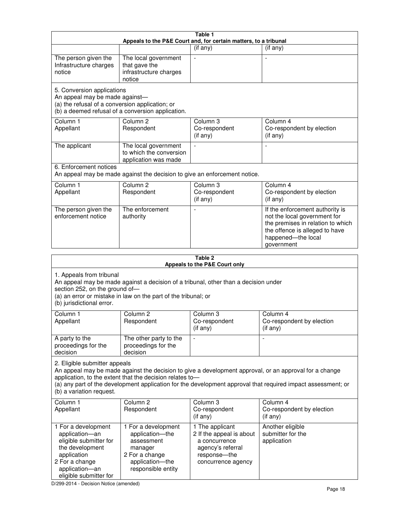| Table 1<br>Appeals to the P&E Court and, for certain matters, to a tribunal                                                                                                                                                                                                                                                                     |                                                                                                                            |                                                                                                                         |                                                                                                                                                                            |
|-------------------------------------------------------------------------------------------------------------------------------------------------------------------------------------------------------------------------------------------------------------------------------------------------------------------------------------------------|----------------------------------------------------------------------------------------------------------------------------|-------------------------------------------------------------------------------------------------------------------------|----------------------------------------------------------------------------------------------------------------------------------------------------------------------------|
|                                                                                                                                                                                                                                                                                                                                                 |                                                                                                                            | (if any)                                                                                                                | $($ if any $)$                                                                                                                                                             |
| The person given the<br>Infrastructure charges<br>notice                                                                                                                                                                                                                                                                                        | The local government<br>that gave the<br>infrastructure charges<br>notice                                                  |                                                                                                                         |                                                                                                                                                                            |
| 5. Conversion applications<br>An appeal may be made against-<br>(a) the refusal of a conversion application; or                                                                                                                                                                                                                                 | (b) a deemed refusal of a conversion application.                                                                          |                                                                                                                         |                                                                                                                                                                            |
| Column 1<br>Appellant                                                                                                                                                                                                                                                                                                                           | Column <sub>2</sub><br>Respondent                                                                                          | Column 3<br>Co-respondent<br>(if any)                                                                                   | Column 4<br>Co-respondent by election<br>(if any)                                                                                                                          |
| The applicant                                                                                                                                                                                                                                                                                                                                   | The local government<br>to which the conversion<br>application was made                                                    |                                                                                                                         | $\blacksquare$                                                                                                                                                             |
| 6. Enforcement notices                                                                                                                                                                                                                                                                                                                          |                                                                                                                            | An appeal may be made against the decision to give an enforcement notice.                                               |                                                                                                                                                                            |
| Column 1<br>Appellant                                                                                                                                                                                                                                                                                                                           | Column <sub>2</sub><br>Respondent                                                                                          | Column 3<br>Co-respondent<br>(if any)                                                                                   | Column 4<br>Co-respondent by election<br>(if any)                                                                                                                          |
| The person given the<br>enforcement notice                                                                                                                                                                                                                                                                                                      | The enforcement<br>authority                                                                                               |                                                                                                                         | If the enforcement authority is<br>not the local government for<br>the premises in relation to which<br>the offence is alleged to have<br>happened-the local<br>government |
|                                                                                                                                                                                                                                                                                                                                                 |                                                                                                                            | Table 2<br>Appeals to the P&E Court only                                                                                |                                                                                                                                                                            |
| 1. Appeals from tribunal<br>An appeal may be made against a decision of a tribunal, other than a decision under<br>section 252, on the ground of-<br>(a) an error or mistake in law on the part of the tribunal; or<br>(b) jurisdictional error.                                                                                                |                                                                                                                            |                                                                                                                         |                                                                                                                                                                            |
| Column 1<br>Appellant                                                                                                                                                                                                                                                                                                                           | Column 2<br>Respondent                                                                                                     | Column 3<br>Co-respondent<br>(if any)                                                                                   | Column 4<br>Co-respondent by election<br>$($ if any $)$                                                                                                                    |
| A party to the<br>proceedings for the<br>decision                                                                                                                                                                                                                                                                                               | The other party to the<br>proceedings for the<br>decision                                                                  |                                                                                                                         |                                                                                                                                                                            |
| 2. Eligible submitter appeals<br>An appeal may be made against the decision to give a development approval, or an approval for a change<br>application, to the extent that the decision relates to-<br>(a) any part of the development application for the development approval that required impact assessment; or<br>(b) a variation request. |                                                                                                                            |                                                                                                                         |                                                                                                                                                                            |
| Column <sub>1</sub><br>Appellant                                                                                                                                                                                                                                                                                                                | Column <sub>2</sub><br>Respondent                                                                                          | Column 3<br>Co-respondent<br>(if any)                                                                                   | Column 4<br>Co-respondent by election<br>(if any)                                                                                                                          |
| 1 For a development<br>application-an<br>eligible submitter for<br>the development<br>application<br>2 For a change<br>application-an                                                                                                                                                                                                           | 1 For a development<br>application-the<br>assessment<br>manager<br>2 For a change<br>application-the<br>responsible entity | 1 The applicant<br>2 If the appeal is about<br>a concurrence<br>agency's referral<br>response-the<br>concurrence agency | Another eligible<br>submitter for the<br>application                                                                                                                       |

D/299-2014 - Decision Notice (amended)

eligible submitter for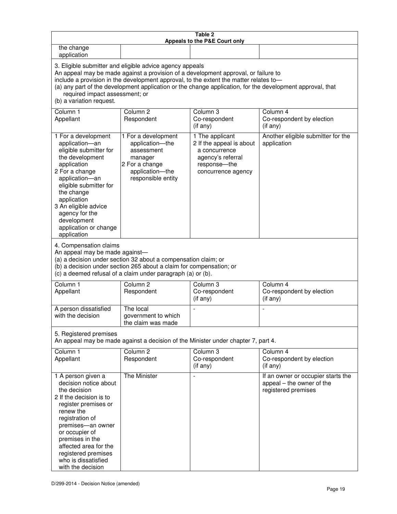| Table 2<br>Appeals to the P&E Court only                                                                                                                                                                                                                                                                                                                                                                           |                                                                                                                            |                                                                                                                         |                                                                                        |
|--------------------------------------------------------------------------------------------------------------------------------------------------------------------------------------------------------------------------------------------------------------------------------------------------------------------------------------------------------------------------------------------------------------------|----------------------------------------------------------------------------------------------------------------------------|-------------------------------------------------------------------------------------------------------------------------|----------------------------------------------------------------------------------------|
| the change<br>application                                                                                                                                                                                                                                                                                                                                                                                          |                                                                                                                            |                                                                                                                         |                                                                                        |
| 3. Eligible submitter and eligible advice agency appeals<br>An appeal may be made against a provision of a development approval, or failure to<br>include a provision in the development approval, to the extent the matter relates to-<br>(a) any part of the development application or the change application, for the development approval, that<br>required impact assessment; or<br>(b) a variation request. |                                                                                                                            |                                                                                                                         |                                                                                        |
| Column 1<br>Appellant                                                                                                                                                                                                                                                                                                                                                                                              | Column <sub>2</sub><br>Respondent                                                                                          | Column 3<br>Co-respondent<br>(if any)                                                                                   | Column 4<br>Co-respondent by election<br>(if any)                                      |
| 1 For a development<br>application-an<br>eligible submitter for<br>the development<br>application<br>2 For a change<br>application-an<br>eligible submitter for<br>the change<br>application<br>3 An eligible advice<br>agency for the<br>development<br>application or change<br>application                                                                                                                      | 1 For a development<br>application-the<br>assessment<br>manager<br>2 For a change<br>application-the<br>responsible entity | 1 The applicant<br>2 If the appeal is about<br>a concurrence<br>agency's referral<br>response-the<br>concurrence agency | Another eligible submitter for the<br>application                                      |
| 4. Compensation claims<br>An appeal may be made against-<br>(a) a decision under section 32 about a compensation claim; or<br>(b) a decision under section 265 about a claim for compensation; or<br>(c) a deemed refusal of a claim under paragraph (a) or (b).                                                                                                                                                   |                                                                                                                            |                                                                                                                         |                                                                                        |
| Column <sub>1</sub><br>Appellant                                                                                                                                                                                                                                                                                                                                                                                   | Column <sub>2</sub><br>Respondent                                                                                          | Column 3<br>Co-respondent<br>(if any)                                                                                   | Column 4<br>Co-respondent by election<br>(if any)                                      |
| A person dissatisfied<br>with the decision                                                                                                                                                                                                                                                                                                                                                                         | The local<br>government to which<br>the claim was made                                                                     |                                                                                                                         |                                                                                        |
| 5. Registered premises<br>An appeal may be made against a decision of the Minister under chapter 7, part 4.                                                                                                                                                                                                                                                                                                        |                                                                                                                            |                                                                                                                         |                                                                                        |
| Column <sub>1</sub><br>Appellant                                                                                                                                                                                                                                                                                                                                                                                   | Column <sub>2</sub><br>Respondent                                                                                          | Column <sub>3</sub><br>Co-respondent<br>(if any)                                                                        | Column 4<br>Co-respondent by election<br>(i f any)                                     |
| 1 A person given a<br>decision notice about<br>the decision<br>2 If the decision is to<br>register premises or<br>renew the<br>registration of<br>premises-an owner<br>or occupier of<br>premises in the<br>affected area for the<br>registered premises<br>who is dissatisfied<br>with the decision                                                                                                               | The Minister                                                                                                               | L,                                                                                                                      | If an owner or occupier starts the<br>appeal – the owner of the<br>registered premises |